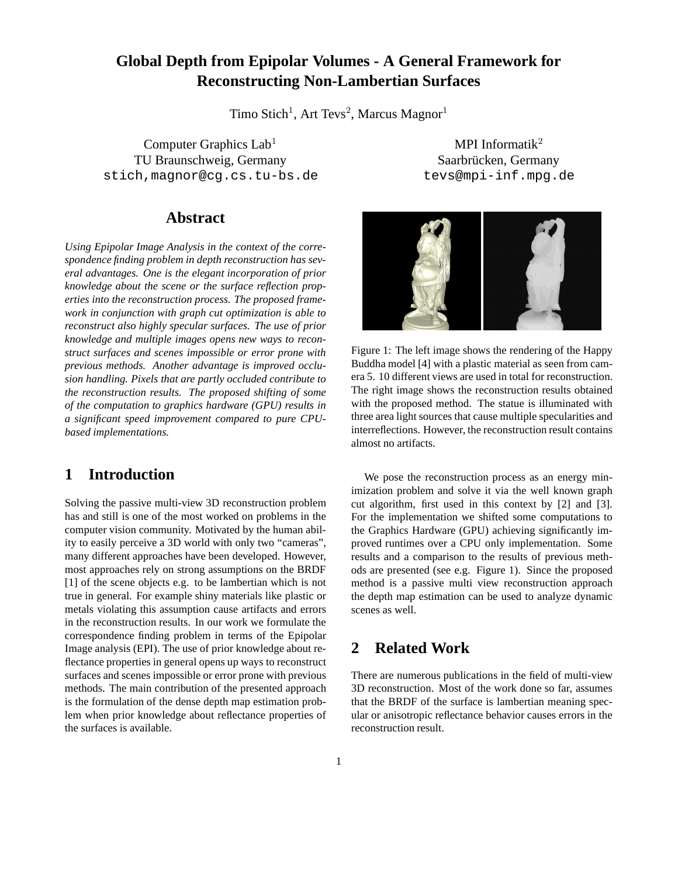# **Global Depth from Epipolar Volumes - A General Framework for Reconstructing Non-Lambertian Surfaces**

Timo Stich<sup>1</sup>, Art Tevs<sup>2</sup>, Marcus Magnor<sup>1</sup>

Computer Graphics  $Lab<sup>1</sup>$  MPI Informatik<sup>2</sup> TU Braunschweig, Germany Saarbrücken, Germany stich, magnor@cg.cs.tu-bs.de tevs@mpi-inf.mpg.de

## **Abstract**

*Using Epipolar Image Analysis in the context of the correspondence finding problem in depth reconstruction has several advantages. One is the elegant incorporation of prior knowledge about the scene or the surface reflection properties into the reconstruction process. The proposed framework in conjunction with graph cut optimization is able to reconstruct also highly specular surfaces. The use of prior knowledge and multiple images opens new ways to reconstruct surfaces and scenes impossible or error prone with previous methods. Another advantage is improved occlusion handling. Pixels that are partly occluded contribute to the reconstruction results. The proposed shifting of some of the computation to graphics hardware (GPU) results in a significant speed improvement compared to pure CPUbased implementations.*

## **1 Introduction**

Solving the passive multi-view 3D reconstruction problem has and still is one of the most worked on problems in the computer vision community. Motivated by the human ability to easily perceive a 3D world with only two "cameras", many different approaches have been developed. However, most approaches rely on strong assumptions on the BRDF [1] of the scene objects e.g. to be lambertian which is not true in general. For example shiny materials like plastic or metals violating this assumption cause artifacts and errors in the reconstruction results. In our work we formulate the correspondence finding problem in terms of the Epipolar Image analysis (EPI). The use of prior knowledge about reflectance properties in general opens up ways to reconstruct surfaces and scenes impossible or error prone with previous methods. The main contribution of the presented approach is the formulation of the dense depth map estimation problem when prior knowledge about reflectance properties of the surfaces is available.



Figure 1: The left image shows the rendering of the Happy Buddha model [4] with a plastic material as seen from camera 5. 10 different views are used in total for reconstruction. The right image shows the reconstruction results obtained with the proposed method. The statue is illuminated with three area light sources that cause multiple specularities and interreflections. However, the reconstruction result contains almost no artifacts.

We pose the reconstruction process as an energy minimization problem and solve it via the well known graph cut algorithm, first used in this context by [2] and [3]. For the implementation we shifted some computations to the Graphics Hardware (GPU) achieving significantly improved runtimes over a CPU only implementation. Some results and a comparison to the results of previous methods are presented (see e.g. Figure 1). Since the proposed method is a passive multi view reconstruction approach the depth map estimation can be used to analyze dynamic scenes as well.

## **2 Related Work**

There are numerous publications in the field of multi-view 3D reconstruction. Most of the work done so far, assumes that the BRDF of the surface is lambertian meaning specular or anisotropic reflectance behavior causes errors in the reconstruction result.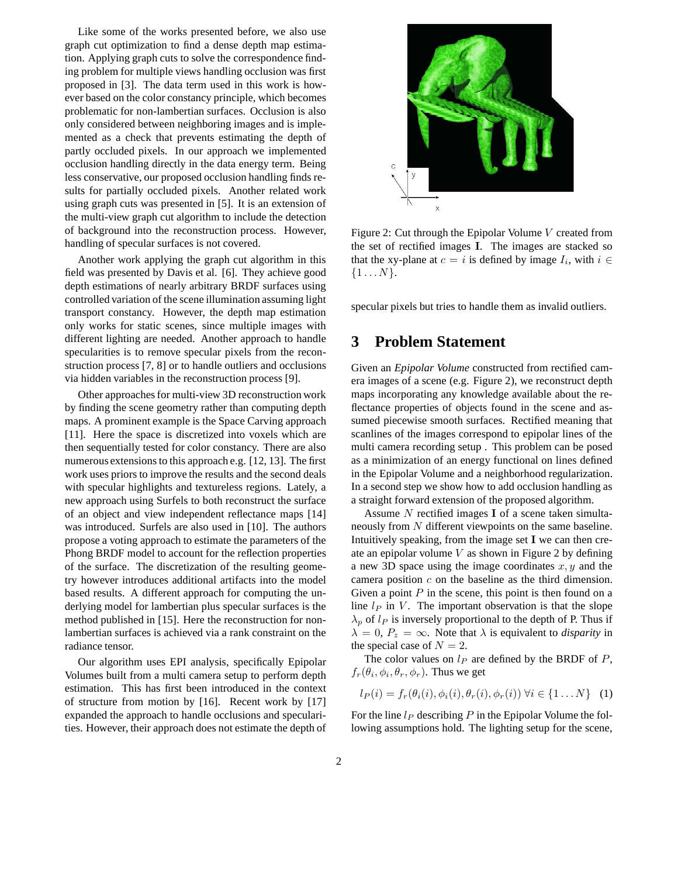Like some of the works presented before, we also use graph cut optimization to find a dense depth map estimation. Applying graph cuts to solve the correspondence finding problem for multiple views handling occlusion was first proposed in [3]. The data term used in this work is however based on the color constancy principle, which becomes problematic for non-lambertian surfaces. Occlusion is also only considered between neighboring images and is implemented as a check that prevents estimating the depth of partly occluded pixels. In our approach we implemented occlusion handling directly in the data energy term. Being less conservative, our proposed occlusion handling finds results for partially occluded pixels. Another related work using graph cuts was presented in [5]. It is an extension of the multi-view graph cut algorithm to include the detection of background into the reconstruction process. However, handling of specular surfaces is not covered.

Another work applying the graph cut algorithm in this field was presented by Davis et al. [6]. They achieve good depth estimations of nearly arbitrary BRDF surfaces using controlled variation of the scene illumination assuming light transport constancy. However, the depth map estimation only works for static scenes, since multiple images with different lighting are needed. Another approach to handle specularities is to remove specular pixels from the reconstruction process [7, 8] or to handle outliers and occlusions via hidden variables in the reconstruction process [9].

Other approaches for multi-view 3D reconstruction work by finding the scene geometry rather than computing depth maps. A prominent example is the Space Carving approach [11]. Here the space is discretized into voxels which are then sequentially tested for color constancy. There are also numerous extensions to this approach e.g. [12, 13]. The first work uses priors to improve the results and the second deals with specular highlights and textureless regions. Lately, a new approach using Surfels to both reconstruct the surface of an object and view independent reflectance maps [14] was introduced. Surfels are also used in [10]. The authors propose a voting approach to estimate the parameters of the Phong BRDF model to account for the reflection properties of the surface. The discretization of the resulting geometry however introduces additional artifacts into the model based results. A different approach for computing the underlying model for lambertian plus specular surfaces is the method published in [15]. Here the reconstruction for nonlambertian surfaces is achieved via a rank constraint on the radiance tensor.

Our algorithm uses EPI analysis, specifically Epipolar Volumes built from a multi camera setup to perform depth estimation. This has first been introduced in the context of structure from motion by [16]. Recent work by [17] expanded the approach to handle occlusions and specularities. However, their approach does not estimate the depth of



Figure 2: Cut through the Epipolar Volume V created from the set of rectified images I. The images are stacked so that the xy-plane at  $c = i$  is defined by image  $I_i$ , with  $i \in$  $\{1 \dots N\}.$ 

specular pixels but tries to handle them as invalid outliers.

## **3 Problem Statement**

Given an *Epipolar Volume* constructed from rectified camera images of a scene (e.g. Figure 2), we reconstruct depth maps incorporating any knowledge available about the reflectance properties of objects found in the scene and assumed piecewise smooth surfaces. Rectified meaning that scanlines of the images correspond to epipolar lines of the multi camera recording setup . This problem can be posed as a minimization of an energy functional on lines defined in the Epipolar Volume and a neighborhood regularization. In a second step we show how to add occlusion handling as a straight forward extension of the proposed algorithm.

Assume  $N$  rectified images **I** of a scene taken simultaneously from N different viewpoints on the same baseline. Intuitively speaking, from the image set  $I$  we can then create an epipolar volume  $V$  as shown in Figure 2 by defining a new 3D space using the image coordinates  $x, y$  and the camera position  $c$  on the baseline as the third dimension. Given a point  $P$  in the scene, this point is then found on a line  $l_P$  in V. The important observation is that the slope  $\lambda_p$  of  $l_P$  is inversely proportional to the depth of P. Thus if  $\lambda = 0$ ,  $P_z = \infty$ . Note that  $\lambda$  is equivalent to *disparity* in the special case of  $N = 2$ .

The color values on  $l_P$  are defined by the BRDF of  $P$ ,  $f_r(\theta_i, \phi_i, \theta_r, \phi_r)$ . Thus we get

$$
l_P(i) = f_r(\theta_i(i), \phi_i(i), \theta_r(i), \phi_r(i)) \ \forall i \in \{1 \dots N\} \quad (1)
$$

For the line  $l_P$  describing P in the Epipolar Volume the following assumptions hold. The lighting setup for the scene,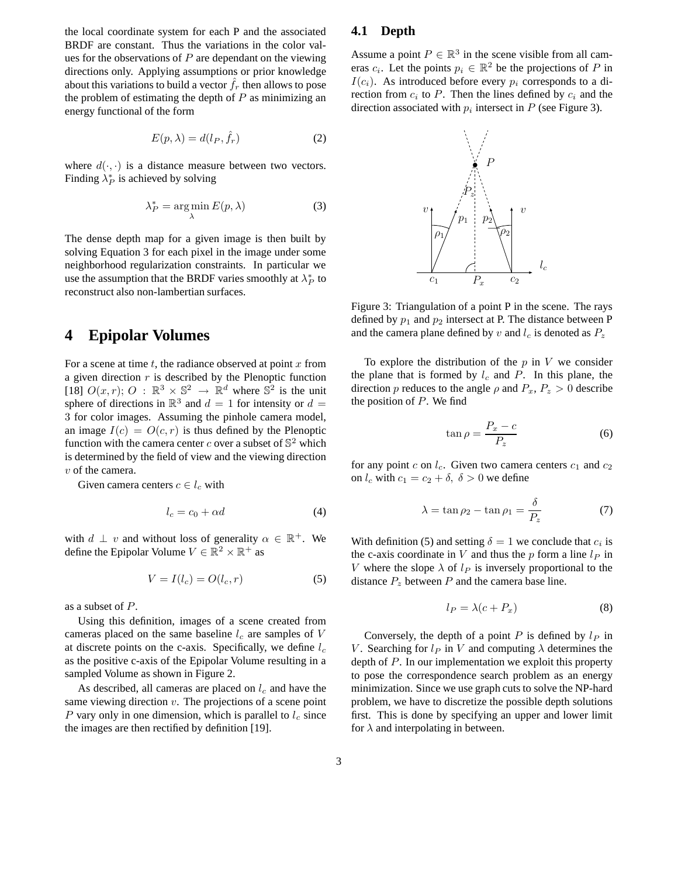the local coordinate system for each P and the associated BRDF are constant. Thus the variations in the color values for the observations of  $P$  are dependant on the viewing directions only. Applying assumptions or prior knowledge about this variations to build a vector  $\hat{f}_r$  then allows to pose the problem of estimating the depth of  $P$  as minimizing an energy functional of the form

$$
E(p,\lambda) = d(l_P, \hat{f}_r) \tag{2}
$$

where  $d(\cdot, \cdot)$  is a distance measure between two vectors. Finding  $\lambda_P^*$  is achieved by solving

$$
\lambda_P^* = \arg\min_{\lambda} E(p, \lambda)
$$
 (3)

The dense depth map for a given image is then built by solving Equation 3 for each pixel in the image under some neighborhood regularization constraints. In particular we use the assumption that the BRDF varies smoothly at  $\lambda_P^*$  to reconstruct also non-lambertian surfaces.

### **4 Epipolar Volumes**

For a scene at time  $t$ , the radiance observed at point  $x$  from a given direction  $r$  is described by the Plenoptic function [18]  $O(x, r)$ ;  $O : \mathbb{R}^3 \times \mathbb{S}^2 \rightarrow \mathbb{R}^d$  where  $\mathbb{S}^2$  is the unit sphere of directions in  $\mathbb{R}^3$  and  $d = 1$  for intensity or  $d =$ 3 for color images. Assuming the pinhole camera model, an image  $I(c) = O(c, r)$  is thus defined by the Plenoptic function with the camera center c over a subset of  $\mathbb{S}^2$  which is determined by the field of view and the viewing direction v of the camera.

Given camera centers  $c \in l_c$  with

$$
l_c = c_0 + \alpha d \tag{4}
$$

with  $d \perp v$  and without loss of generality  $\alpha \in \mathbb{R}^+$ . We define the Epipolar Volume  $V \in \mathbb{R}^2 \times \mathbb{R}^+$  as

$$
V = I(l_c) = O(l_c, r) \tag{5}
$$

as a subset of P.

Using this definition, images of a scene created from cameras placed on the same baseline  $l_c$  are samples of V at discrete points on the c-axis. Specifically, we define  $l_c$ as the positive c-axis of the Epipolar Volume resulting in a sampled Volume as shown in Figure 2.

As described, all cameras are placed on  $l_c$  and have the same viewing direction  $v$ . The projections of a scene point P vary only in one dimension, which is parallel to  $l_c$  since the images are then rectified by definition [19].

#### **4.1 Depth**

Assume a point  $P \in \mathbb{R}^3$  in the scene visible from all cameras  $c_i$ . Let the points  $p_i \in \mathbb{R}^2$  be the projections of P in  $I(c_i)$ . As introduced before every  $p_i$  corresponds to a direction from  $c_i$  to P. Then the lines defined by  $c_i$  and the direction associated with  $p_i$  intersect in P (see Figure 3).



Figure 3: Triangulation of a point P in the scene. The rays defined by  $p_1$  and  $p_2$  intersect at P. The distance between P and the camera plane defined by v and  $l_c$  is denoted as  $P_z$ 

To explore the distribution of the  $p$  in  $V$  we consider the plane that is formed by  $l_c$  and P. In this plane, the direction p reduces to the angle  $\rho$  and  $P_x$ ,  $P_z > 0$  describe the position of  $P$ . We find

$$
\tan \rho = \frac{P_x - c}{P_z} \tag{6}
$$

for any point c on  $l_c$ . Given two camera centers  $c_1$  and  $c_2$ on  $l_c$  with  $c_1 = c_2 + \delta$ ,  $\delta > 0$  we define

$$
\lambda = \tan \rho_2 - \tan \rho_1 = \frac{\delta}{P_z} \tag{7}
$$

With definition (5) and setting  $\delta = 1$  we conclude that  $c_i$  is the c-axis coordinate in V and thus the p form a line  $l_P$  in V where the slope  $\lambda$  of  $l_P$  is inversely proportional to the distance  $P_z$  between P and the camera base line.

$$
l_P = \lambda (c + P_x) \tag{8}
$$

Conversely, the depth of a point P is defined by  $l_P$  in V. Searching for  $l_P$  in V and computing  $\lambda$  determines the depth of P. In our implementation we exploit this property to pose the correspondence search problem as an energy minimization. Since we use graph cuts to solve the NP-hard problem, we have to discretize the possible depth solutions first. This is done by specifying an upper and lower limit for  $\lambda$  and interpolating in between.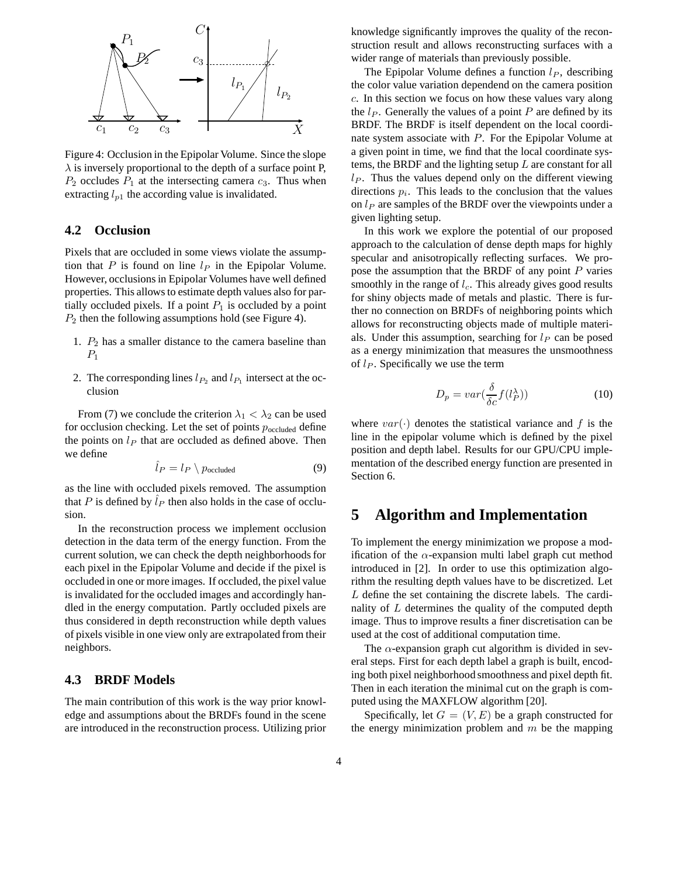

Figure 4: Occlusion in the Epipolar Volume. Since the slope  $\lambda$  is inversely proportional to the depth of a surface point P,  $P_2$  occludes  $P_1$  at the intersecting camera  $c_3$ . Thus when extracting  $l_{p1}$  the according value is invalidated.

#### **4.2 Occlusion**

Pixels that are occluded in some views violate the assumption that P is found on line  $l_P$  in the Epipolar Volume. However, occlusions in Epipolar Volumes have well defined properties. This allows to estimate depth values also for partially occluded pixels. If a point  $P_1$  is occluded by a point  $P_2$  then the following assumptions hold (see Figure 4).

- 1.  $P_2$  has a smaller distance to the camera baseline than  $P_1$
- 2. The corresponding lines  $l_{P_2}$  and  $l_{P_1}$  intersect at the occlusion

From (7) we conclude the criterion  $\lambda_1 < \lambda_2$  can be used for occlusion checking. Let the set of points  $p_{\text{occluded}}$  define the points on  $l_P$  that are occluded as defined above. Then we define

$$
\hat{l}_P = l_P \setminus p_{\text{occluded}} \tag{9}
$$

as the line with occluded pixels removed. The assumption that P is defined by  $l_P$  then also holds in the case of occlusion.

In the reconstruction process we implement occlusion detection in the data term of the energy function. From the current solution, we can check the depth neighborhoods for each pixel in the Epipolar Volume and decide if the pixel is occluded in one or more images. If occluded, the pixel value is invalidated for the occluded images and accordingly handled in the energy computation. Partly occluded pixels are thus considered in depth reconstruction while depth values of pixels visible in one view only are extrapolated from their neighbors.

#### **4.3 BRDF Models**

The main contribution of this work is the way prior knowledge and assumptions about the BRDFs found in the scene are introduced in the reconstruction process. Utilizing prior knowledge significantly improves the quality of the reconstruction result and allows reconstructing surfaces with a wider range of materials than previously possible.

The Epipolar Volume defines a function  $l<sub>P</sub>$ , describing the color value variation dependend on the camera position c. In this section we focus on how these values vary along the  $l_P$ . Generally the values of a point P are defined by its BRDF. The BRDF is itself dependent on the local coordinate system associate with P. For the Epipolar Volume at a given point in time, we find that the local coordinate systems, the BRDF and the lighting setup  $L$  are constant for all  $l_P$ . Thus the values depend only on the different viewing directions  $p_i$ . This leads to the conclusion that the values on  $l_P$  are samples of the BRDF over the viewpoints under a given lighting setup.

In this work we explore the potential of our proposed approach to the calculation of dense depth maps for highly specular and anisotropically reflecting surfaces. We propose the assumption that the BRDF of any point  $P$  varies smoothly in the range of  $l_c$ . This already gives good results for shiny objects made of metals and plastic. There is further no connection on BRDFs of neighboring points which allows for reconstructing objects made of multiple materials. Under this assumption, searching for  $l_P$  can be posed as a energy minimization that measures the unsmoothness of  $l_P$ . Specifically we use the term

$$
D_p = var(\frac{\delta}{\delta c} f(l_P^{\lambda}))
$$
\n(10)

where  $var(\cdot)$  denotes the statistical variance and f is the line in the epipolar volume which is defined by the pixel position and depth label. Results for our GPU/CPU implementation of the described energy function are presented in Section 6.

## **5 Algorithm and Implementation**

To implement the energy minimization we propose a modification of the  $\alpha$ -expansion multi label graph cut method introduced in [2]. In order to use this optimization algorithm the resulting depth values have to be discretized. Let L define the set containing the discrete labels. The cardinality of  $L$  determines the quality of the computed depth image. Thus to improve results a finer discretisation can be used at the cost of additional computation time.

The  $\alpha$ -expansion graph cut algorithm is divided in several steps. First for each depth label a graph is built, encoding both pixel neighborhood smoothness and pixel depth fit. Then in each iteration the minimal cut on the graph is computed using the MAXFLOW algorithm [20].

Specifically, let  $G = (V, E)$  be a graph constructed for the energy minimization problem and  $m$  be the mapping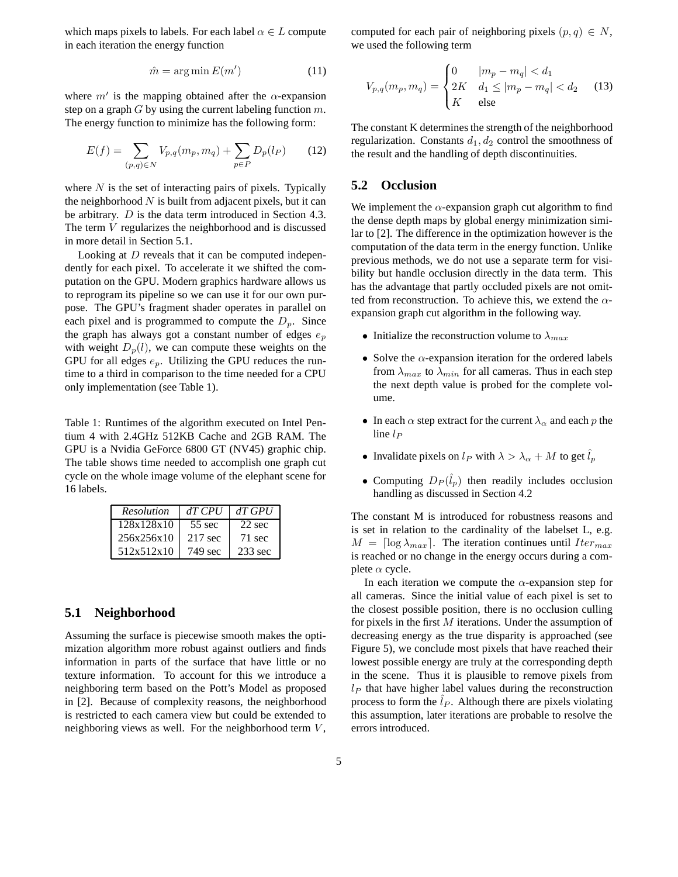which maps pixels to labels. For each label  $\alpha \in L$  compute in each iteration the energy function

$$
\hat{m} = \arg\min E(m') \tag{11}
$$

where  $m'$  is the mapping obtained after the  $\alpha$ -expansion step on a graph  $G$  by using the current labeling function  $m$ . The energy function to minimize has the following form:

$$
E(f) = \sum_{(p,q)\in N} V_{p,q}(m_p, m_q) + \sum_{p\in P} D_p(l_P) \tag{12}
$$

where  $N$  is the set of interacting pairs of pixels. Typically the neighborhood  $N$  is built from adjacent pixels, but it can be arbitrary. D is the data term introduced in Section 4.3. The term V regularizes the neighborhood and is discussed in more detail in Section 5.1.

Looking at  $D$  reveals that it can be computed independently for each pixel. To accelerate it we shifted the computation on the GPU. Modern graphics hardware allows us to reprogram its pipeline so we can use it for our own purpose. The GPU's fragment shader operates in parallel on each pixel and is programmed to compute the  $D_p$ . Since the graph has always got a constant number of edges  $e_p$ with weight  $D_p(l)$ , we can compute these weights on the GPU for all edges  $e_p$ . Utilizing the GPU reduces the runtime to a third in comparison to the time needed for a CPU only implementation (see Table 1).

Table 1: Runtimes of the algorithm executed on Intel Pentium 4 with 2.4GHz 512KB Cache and 2GB RAM. The GPU is a Nvidia GeForce 6800 GT (NV45) graphic chip. The table shows time needed to accomplish one graph cut cycle on the whole image volume of the elephant scene for 16 labels.

| <b>Resolution</b> | $dT$ CPU          | $dT$ GPU         |
|-------------------|-------------------|------------------|
| 128x128x10        | $55$ sec          | $22 \text{ sec}$ |
| 256x256x10        | $217 \text{ sec}$ | $71 \text{ sec}$ |
| 512x512x10        | 749 sec           | $233$ sec        |

#### **5.1 Neighborhood**

Assuming the surface is piecewise smooth makes the optimization algorithm more robust against outliers and finds information in parts of the surface that have little or no texture information. To account for this we introduce a neighboring term based on the Pott's Model as proposed in [2]. Because of complexity reasons, the neighborhood is restricted to each camera view but could be extended to neighboring views as well. For the neighborhood term  $V$ ,

computed for each pair of neighboring pixels  $(p, q) \in N$ , we used the following term

$$
V_{p,q}(m_p, m_q) = \begin{cases} 0 & |m_p - m_q| < d_1 \\ 2K & d_1 \le |m_p - m_q| < d_2 \\ K & \text{else} \end{cases}
$$
 (13)

The constant K determines the strength of the neighborhood regularization. Constants  $d_1, d_2$  control the smoothness of the result and the handling of depth discontinuities.

#### **5.2 Occlusion**

We implement the  $\alpha$ -expansion graph cut algorithm to find the dense depth maps by global energy minimization similar to [2]. The difference in the optimization however is the computation of the data term in the energy function. Unlike previous methods, we do not use a separate term for visibility but handle occlusion directly in the data term. This has the advantage that partly occluded pixels are not omitted from reconstruction. To achieve this, we extend the  $\alpha$ expansion graph cut algorithm in the following way.

- Initialize the reconstruction volume to  $\lambda_{max}$
- Solve the  $\alpha$ -expansion iteration for the ordered labels from  $\lambda_{max}$  to  $\lambda_{min}$  for all cameras. Thus in each step the next depth value is probed for the complete volume.
- In each  $\alpha$  step extract for the current  $\lambda_{\alpha}$  and each p the line  $l_P$
- Invalidate pixels on  $l_P$  with  $\lambda > \lambda_\alpha + M$  to get  $\hat{l}_p$
- Computing  $D_P(\hat{l}_p)$  then readily includes occlusion handling as discussed in Section 4.2

The constant M is introduced for robustness reasons and is set in relation to the cardinality of the labelset L, e.g.  $M = \lceil \log \lambda_{max} \rceil$ . The iteration continues until  $Iter_{max}$ is reached or no change in the energy occurs during a complete  $\alpha$  cycle.

In each iteration we compute the  $\alpha$ -expansion step for all cameras. Since the initial value of each pixel is set to the closest possible position, there is no occlusion culling for pixels in the first M iterations. Under the assumption of decreasing energy as the true disparity is approached (see Figure 5), we conclude most pixels that have reached their lowest possible energy are truly at the corresponding depth in the scene. Thus it is plausible to remove pixels from  $l_P$  that have higher label values during the reconstruction process to form the  $l_P$ . Although there are pixels violating this assumption, later iterations are probable to resolve the errors introduced.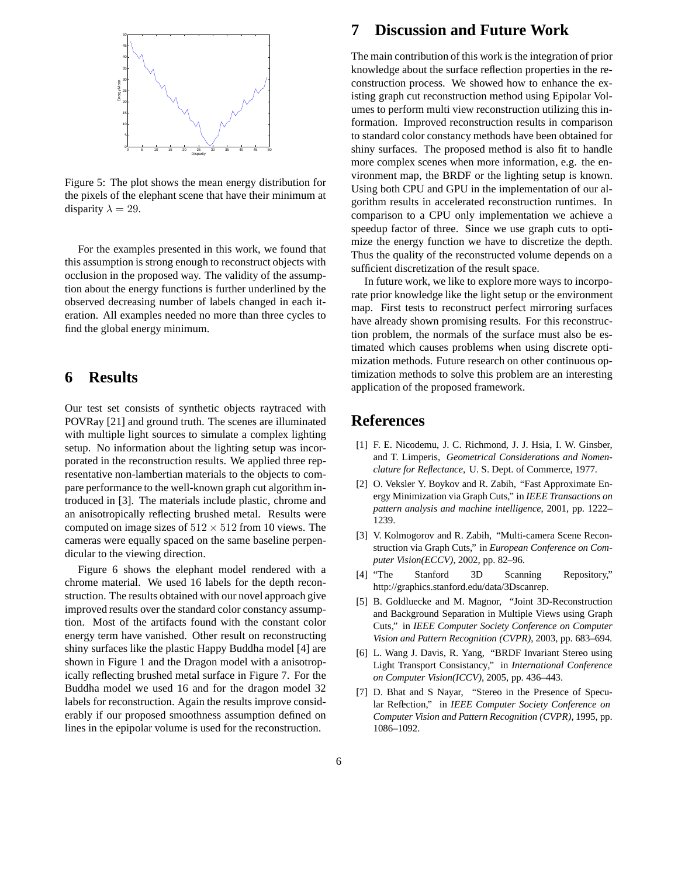

Figure 5: The plot shows the mean energy distribution for the pixels of the elephant scene that have their minimum at disparity  $\lambda = 29$ .

For the examples presented in this work, we found that this assumption is strong enough to reconstruct objects with occlusion in the proposed way. The validity of the assumption about the energy functions is further underlined by the observed decreasing number of labels changed in each iteration. All examples needed no more than three cycles to find the global energy minimum.

## **6 Results**

Our test set consists of synthetic objects raytraced with POVRay [21] and ground truth. The scenes are illuminated with multiple light sources to simulate a complex lighting setup. No information about the lighting setup was incorporated in the reconstruction results. We applied three representative non-lambertian materials to the objects to compare performance to the well-known graph cut algorithm introduced in [3]. The materials include plastic, chrome and an anisotropically reflecting brushed metal. Results were computed on image sizes of  $512 \times 512$  from 10 views. The cameras were equally spaced on the same baseline perpendicular to the viewing direction.

Figure 6 shows the elephant model rendered with a chrome material. We used 16 labels for the depth reconstruction. The results obtained with our novel approach give improved results over the standard color constancy assumption. Most of the artifacts found with the constant color energy term have vanished. Other result on reconstructing shiny surfaces like the plastic Happy Buddha model [4] are shown in Figure 1 and the Dragon model with a anisotropically reflecting brushed metal surface in Figure 7. For the Buddha model we used 16 and for the dragon model 32 labels for reconstruction. Again the results improve considerably if our proposed smoothness assumption defined on lines in the epipolar volume is used for the reconstruction.

## **7 Discussion and Future Work**

The main contribution of this work is the integration of prior knowledge about the surface reflection properties in the reconstruction process. We showed how to enhance the existing graph cut reconstruction method using Epipolar Volumes to perform multi view reconstruction utilizing this information. Improved reconstruction results in comparison to standard color constancy methods have been obtained for shiny surfaces. The proposed method is also fit to handle more complex scenes when more information, e.g. the environment map, the BRDF or the lighting setup is known. Using both CPU and GPU in the implementation of our algorithm results in accelerated reconstruction runtimes. In comparison to a CPU only implementation we achieve a speedup factor of three. Since we use graph cuts to optimize the energy function we have to discretize the depth. Thus the quality of the reconstructed volume depends on a sufficient discretization of the result space.

In future work, we like to explore more ways to incorporate prior knowledge like the light setup or the environment map. First tests to reconstruct perfect mirroring surfaces have already shown promising results. For this reconstruction problem, the normals of the surface must also be estimated which causes problems when using discrete optimization methods. Future research on other continuous optimization methods to solve this problem are an interesting application of the proposed framework.

## **References**

- [1] F. E. Nicodemu, J. C. Richmond, J. J. Hsia, I. W. Ginsber, and T. Limperis, *Geometrical Considerations and Nomenclature for Reflectance*, U. S. Dept. of Commerce, 1977.
- [2] O. Veksler Y. Boykov and R. Zabih, "Fast Approximate Energy Minimization via Graph Cuts," in *IEEE Transactions on pattern analysis and machine intelligence*, 2001, pp. 1222– 1239.
- [3] V. Kolmogorov and R. Zabih, "Multi-camera Scene Reconstruction via Graph Cuts," in *European Conference on Computer Vision(ECCV)*, 2002, pp. 82–96.
- [4] "The Stanford 3D Scanning Repository," http://graphics.stanford.edu/data/3Dscanrep.
- [5] B. Goldluecke and M. Magnor, "Joint 3D-Reconstruction and Background Separation in Multiple Views using Graph Cuts," in *IEEE Computer Society Conference on Computer Vision and Pattern Recognition (CVPR)*, 2003, pp. 683–694.
- [6] L. Wang J. Davis, R. Yang, "BRDF Invariant Stereo using Light Transport Consistancy," in *International Conference on Computer Vision(ICCV)*, 2005, pp. 436–443.
- [7] D. Bhat and S Nayar, "Stereo in the Presence of Specular Reflection," in *IEEE Computer Society Conference on Computer Vision and Pattern Recognition (CVPR)*, 1995, pp. 1086–1092.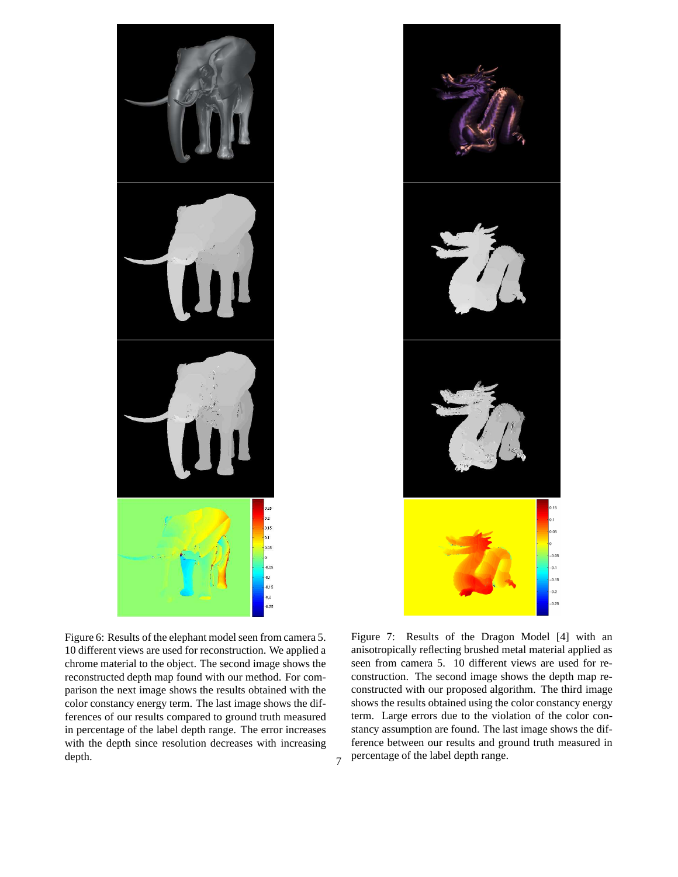



Figure 6: Results of the elephant model seen from camera 5. 10 different views are used for reconstruction. We applied a chrome material to the object. The second image shows the reconstructed depth map found with our method. For comparison the next image shows the results obtained with the color constancy energy term. The last image shows the differences of our results compared to ground truth measured in percentage of the label depth range. The error increases with the depth since resolution decreases with increasing depth.

Figure 7: Results of the Dragon Model [4] with an anisotropically reflecting brushed metal material applied as seen from camera 5. 10 different views are used for reconstruction. The second image shows the depth map reconstructed with our proposed algorithm. The third image shows the results obtained using the color constancy energy term. Large errors due to the violation of the color constancy assumption are found. The last image shows the difference between our results and ground truth measured in  $7$  percentage of the label depth range.